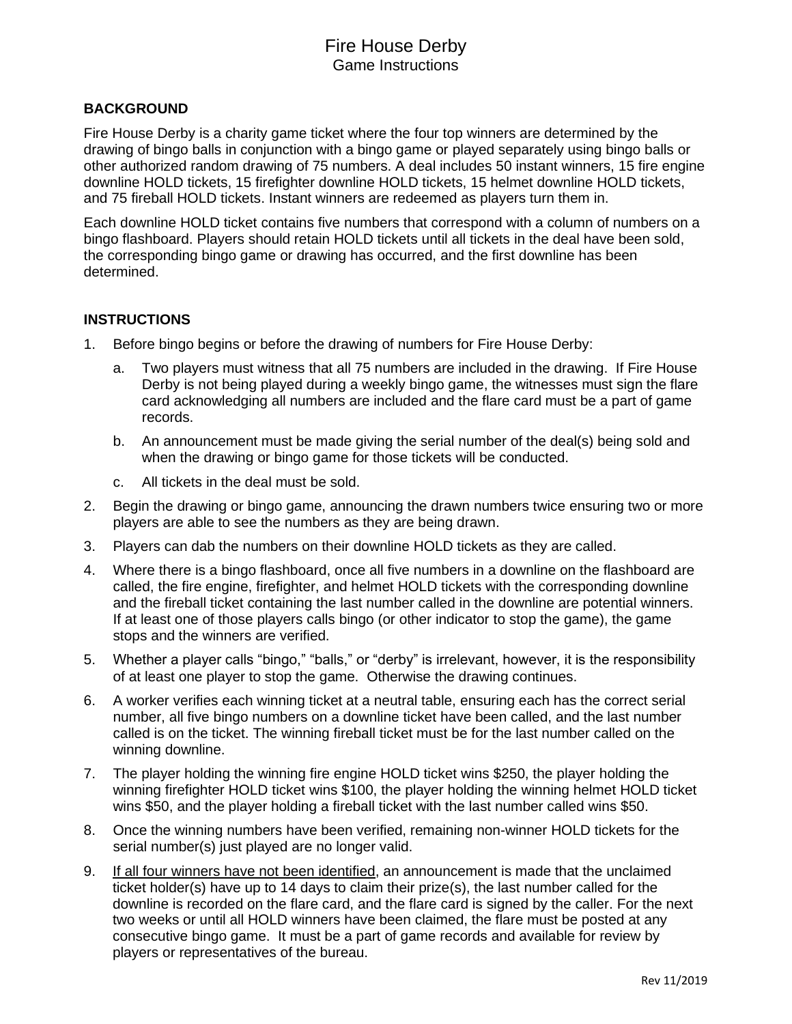## **BACKGROUND**

Fire House Derby is a charity game ticket where the four top winners are determined by the drawing of bingo balls in conjunction with a bingo game or played separately using bingo balls or other authorized random drawing of 75 numbers. A deal includes 50 instant winners, 15 fire engine downline HOLD tickets, 15 firefighter downline HOLD tickets, 15 helmet downline HOLD tickets, and 75 fireball HOLD tickets. Instant winners are redeemed as players turn them in.

Each downline HOLD ticket contains five numbers that correspond with a column of numbers on a bingo flashboard. Players should retain HOLD tickets until all tickets in the deal have been sold, the corresponding bingo game or drawing has occurred, and the first downline has been determined.

## **INSTRUCTIONS**

- 1. Before bingo begins or before the drawing of numbers for Fire House Derby:
	- a. Two players must witness that all 75 numbers are included in the drawing. If Fire House Derby is not being played during a weekly bingo game, the witnesses must sign the flare card acknowledging all numbers are included and the flare card must be a part of game records.
	- b. An announcement must be made giving the serial number of the deal(s) being sold and when the drawing or bingo game for those tickets will be conducted.
	- c. All tickets in the deal must be sold.
- 2. Begin the drawing or bingo game, announcing the drawn numbers twice ensuring two or more players are able to see the numbers as they are being drawn.
- 3. Players can dab the numbers on their downline HOLD tickets as they are called.
- 4. Where there is a bingo flashboard, once all five numbers in a downline on the flashboard are called, the fire engine, firefighter, and helmet HOLD tickets with the corresponding downline and the fireball ticket containing the last number called in the downline are potential winners. If at least one of those players calls bingo (or other indicator to stop the game), the game stops and the winners are verified.
- 5. Whether a player calls "bingo," "balls," or "derby" is irrelevant, however, it is the responsibility of at least one player to stop the game. Otherwise the drawing continues.
- 6. A worker verifies each winning ticket at a neutral table, ensuring each has the correct serial number, all five bingo numbers on a downline ticket have been called, and the last number called is on the ticket. The winning fireball ticket must be for the last number called on the winning downline.
- 7. The player holding the winning fire engine HOLD ticket wins \$250, the player holding the winning firefighter HOLD ticket wins \$100, the player holding the winning helmet HOLD ticket wins \$50, and the player holding a fireball ticket with the last number called wins \$50.
- 8. Once the winning numbers have been verified, remaining non-winner HOLD tickets for the serial number(s) just played are no longer valid.
- 9. If all four winners have not been identified, an announcement is made that the unclaimed ticket holder(s) have up to 14 days to claim their prize(s), the last number called for the downline is recorded on the flare card, and the flare card is signed by the caller. For the next two weeks or until all HOLD winners have been claimed, the flare must be posted at any consecutive bingo game. It must be a part of game records and available for review by players or representatives of the bureau.